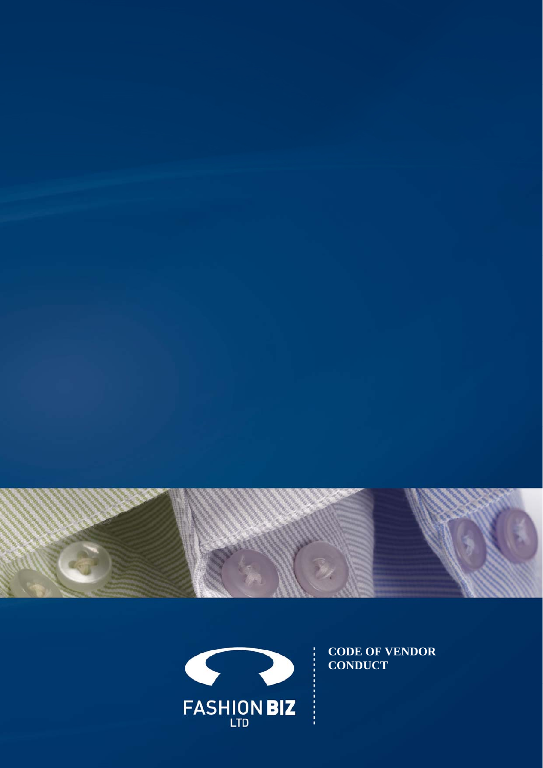



**CODE OF VENDOR**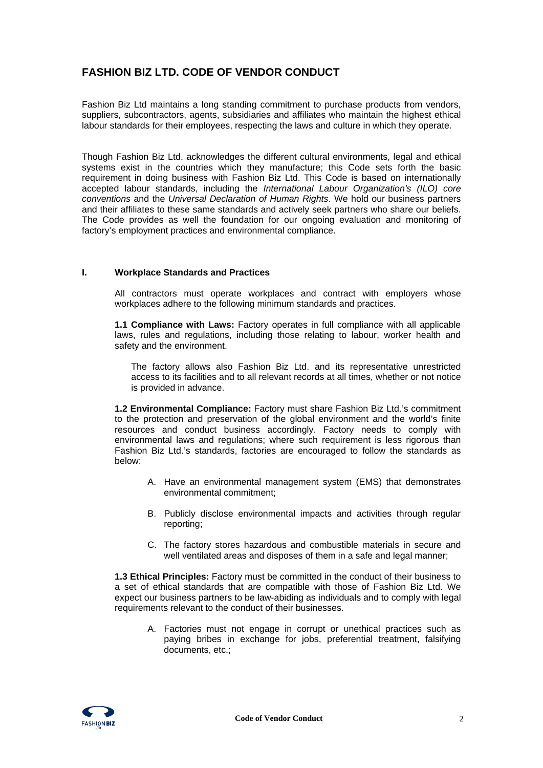# **FASHION BIZ LTD. CODE OF VENDOR CONDUCT**

Fashion Biz Ltd maintains a long standing commitment to purchase products from vendors, suppliers, subcontractors, agents, subsidiaries and affiliates who maintain the highest ethical labour standards for their employees, respecting the laws and culture in which they operate.

Though Fashion Biz Ltd. acknowledges the different cultural environments, legal and ethical systems exist in the countries which they manufacture; this Code sets forth the basic requirement in doing business with Fashion Biz Ltd. This Code is based on internationally accepted labour standards, including the *International Labour Organization's (ILO) core conventions* and the *Universal Declaration of Human Rights*. We hold our business partners and their affiliates to these same standards and actively seek partners who share our beliefs. The Code provides as well the foundation for our ongoing evaluation and monitoring of factory's employment practices and environmental compliance.

## **I. Workplace Standards and Practices**

All contractors must operate workplaces and contract with employers whose workplaces adhere to the following minimum standards and practices.

**1.1 Compliance with Laws:** Factory operates in full compliance with all applicable laws, rules and regulations, including those relating to labour, worker health and safety and the environment.

The factory allows also Fashion Biz Ltd. and its representative unrestricted access to its facilities and to all relevant records at all times, whether or not notice is provided in advance.

**1.2 Environmental Compliance:** Factory must share Fashion Biz Ltd.'s commitment to the protection and preservation of the global environment and the world's finite resources and conduct business accordingly. Factory needs to comply with environmental laws and regulations; where such requirement is less rigorous than Fashion Biz Ltd.'s standards, factories are encouraged to follow the standards as below:

- A. Have an environmental management system (EMS) that demonstrates environmental commitment;
- B. Publicly disclose environmental impacts and activities through regular reporting;
- C. The factory stores hazardous and combustible materials in secure and well ventilated areas and disposes of them in a safe and legal manner;

**1.3 Ethical Principles:** Factory must be committed in the conduct of their business to a set of ethical standards that are compatible with those of Fashion Biz Ltd. We expect our business partners to be law-abiding as individuals and to comply with legal requirements relevant to the conduct of their businesses.

A. Factories must not engage in corrupt or unethical practices such as paying bribes in exchange for jobs, preferential treatment, falsifying documents, etc.;

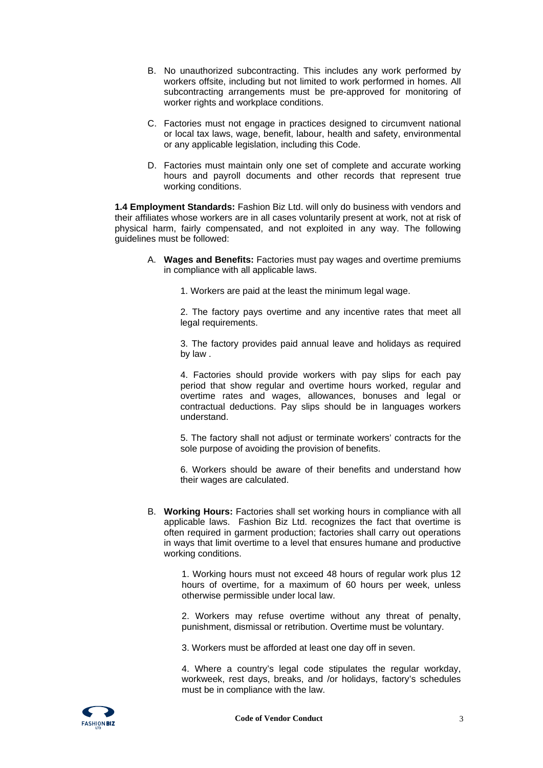- B. No unauthorized subcontracting. This includes any work performed by workers offsite, including but not limited to work performed in homes. All subcontracting arrangements must be pre-approved for monitoring of worker rights and workplace conditions.
- C. Factories must not engage in practices designed to circumvent national or local tax laws, wage, benefit, labour, health and safety, environmental or any applicable legislation, including this Code.
- D. Factories must maintain only one set of complete and accurate working hours and payroll documents and other records that represent true working conditions.

**1.4 Employment Standards:** Fashion Biz Ltd. will only do business with vendors and their affiliates whose workers are in all cases voluntarily present at work, not at risk of physical harm, fairly compensated, and not exploited in any way. The following guidelines must be followed:

- A. **Wages and Benefits:** Factories must pay wages and overtime premiums in compliance with all applicable laws.
	- 1. Workers are paid at the least the minimum legal wage.

2. The factory pays overtime and any incentive rates that meet all legal requirements.

3. The factory provides paid annual leave and holidays as required by law .

4. Factories should provide workers with pay slips for each pay period that show regular and overtime hours worked, regular and overtime rates and wages, allowances, bonuses and legal or contractual deductions. Pay slips should be in languages workers understand.

5. The factory shall not adjust or terminate workers' contracts for the sole purpose of avoiding the provision of benefits.

6. Workers should be aware of their benefits and understand how their wages are calculated.

B. **Working Hours:** Factories shall set working hours in compliance with all applicable laws. Fashion Biz Ltd. recognizes the fact that overtime is often required in garment production; factories shall carry out operations in ways that limit overtime to a level that ensures humane and productive working conditions.

> 1. Working hours must not exceed 48 hours of regular work plus 12 hours of overtime, for a maximum of 60 hours per week, unless otherwise permissible under local law.

> 2. Workers may refuse overtime without any threat of penalty, punishment, dismissal or retribution. Overtime must be voluntary.

3. Workers must be afforded at least one day off in seven.

4. Where a country's legal code stipulates the regular workday, workweek, rest days, breaks, and /or holidays, factory's schedules must be in compliance with the law.

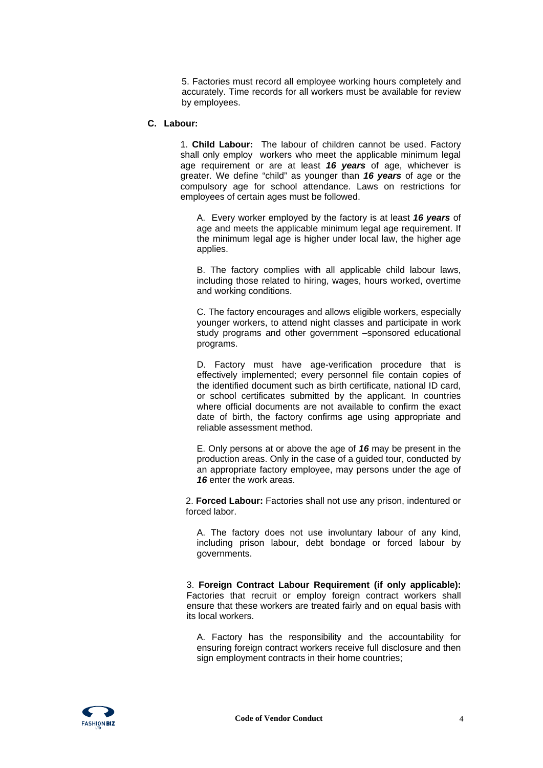5. Factories must record all employee working hours completely and accurately. Time records for all workers must be available for review by employees.

#### **C. Labour:**

1. **Child Labour:** The labour of children cannot be used. Factory shall only employ workers who meet the applicable minimum legal age requirement or are at least *16 years* of age, whichever is greater. We define "child" as younger than *16 years* of age or the compulsory age for school attendance. Laws on restrictions for employees of certain ages must be followed.

A. Every worker employed by the factory is at least *16 years* of age and meets the applicable minimum legal age requirement. If the minimum legal age is higher under local law, the higher age applies.

B. The factory complies with all applicable child labour laws, including those related to hiring, wages, hours worked, overtime and working conditions.

C. The factory encourages and allows eligible workers, especially younger workers, to attend night classes and participate in work study programs and other government –sponsored educational programs.

D. Factory must have age-verification procedure that is effectively implemented; every personnel file contain copies of the identified document such as birth certificate, national ID card, or school certificates submitted by the applicant. In countries where official documents are not available to confirm the exact date of birth, the factory confirms age using appropriate and reliable assessment method.

E. Only persons at or above the age of *16* may be present in the production areas. Only in the case of a guided tour, conducted by an appropriate factory employee, may persons under the age of 16 enter the work areas.

2. **Forced Labour:** Factories shall not use any prison, indentured or forced labor.

A. The factory does not use involuntary labour of any kind, including prison labour, debt bondage or forced labour by governments.

3. **Foreign Contract Labour Requirement (if only applicable):** Factories that recruit or employ foreign contract workers shall ensure that these workers are treated fairly and on equal basis with its local workers.

A. Factory has the responsibility and the accountability for ensuring foreign contract workers receive full disclosure and then sign employment contracts in their home countries;

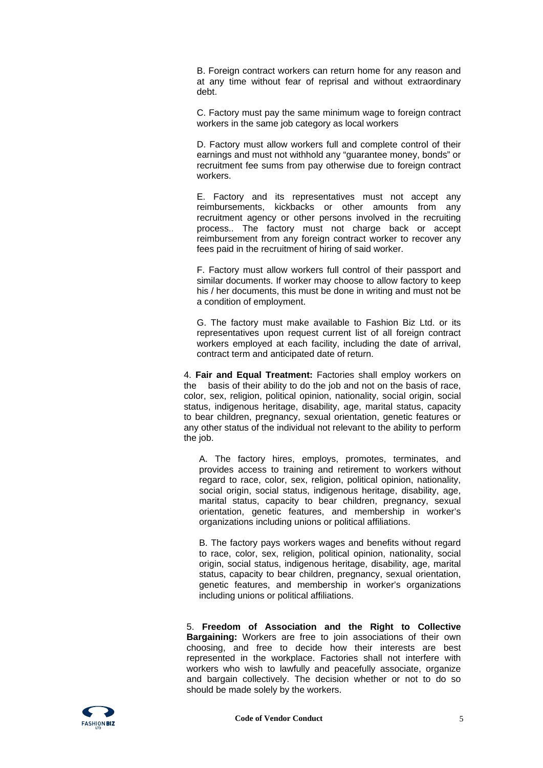B. Foreign contract workers can return home for any reason and at any time without fear of reprisal and without extraordinary debt.

C. Factory must pay the same minimum wage to foreign contract workers in the same job category as local workers

D. Factory must allow workers full and complete control of their earnings and must not withhold any "guarantee money, bonds" or recruitment fee sums from pay otherwise due to foreign contract workers.

E. Factory and its representatives must not accept any reimbursements, kickbacks or other amounts from any recruitment agency or other persons involved in the recruiting process.. The factory must not charge back or accept reimbursement from any foreign contract worker to recover any fees paid in the recruitment of hiring of said worker.

F. Factory must allow workers full control of their passport and similar documents. If worker may choose to allow factory to keep his / her documents, this must be done in writing and must not be a condition of employment.

G. The factory must make available to Fashion Biz Ltd. or its representatives upon request current list of all foreign contract workers employed at each facility, including the date of arrival, contract term and anticipated date of return.

4. **Fair and Equal Treatment:** Factories shall employ workers on the basis of their ability to do the job and not on the basis of race, color, sex, religion, political opinion, nationality, social origin, social status, indigenous heritage, disability, age, marital status, capacity to bear children, pregnancy, sexual orientation, genetic features or any other status of the individual not relevant to the ability to perform the job.

A. The factory hires, employs, promotes, terminates, and provides access to training and retirement to workers without regard to race, color, sex, religion, political opinion, nationality, social origin, social status, indigenous heritage, disability, age, marital status, capacity to bear children, pregnancy, sexual orientation, genetic features, and membership in worker's organizations including unions or political affiliations.

B. The factory pays workers wages and benefits without regard to race, color, sex, religion, political opinion, nationality, social origin, social status, indigenous heritage, disability, age, marital status, capacity to bear children, pregnancy, sexual orientation, genetic features, and membership in worker's organizations including unions or political affiliations.

5. **Freedom of Association and the Right to Collective Bargaining:** Workers are free to join associations of their own choosing, and free to decide how their interests are best represented in the workplace. Factories shall not interfere with workers who wish to lawfully and peacefully associate, organize and bargain collectively. The decision whether or not to do so should be made solely by the workers.

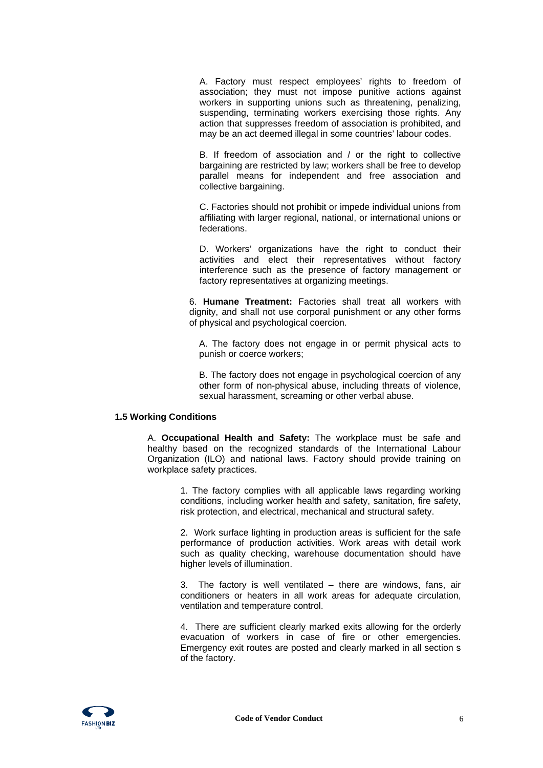A. Factory must respect employees' rights to freedom of association; they must not impose punitive actions against workers in supporting unions such as threatening, penalizing, suspending, terminating workers exercising those rights. Any action that suppresses freedom of association is prohibited, and may be an act deemed illegal in some countries' labour codes.

B. If freedom of association and / or the right to collective bargaining are restricted by law; workers shall be free to develop parallel means for independent and free association and collective bargaining.

C. Factories should not prohibit or impede individual unions from affiliating with larger regional, national, or international unions or federations.

D. Workers' organizations have the right to conduct their activities and elect their representatives without factory interference such as the presence of factory management or factory representatives at organizing meetings.

6. **Humane Treatment:** Factories shall treat all workers with dignity, and shall not use corporal punishment or any other forms of physical and psychological coercion.

A. The factory does not engage in or permit physical acts to punish or coerce workers;

B. The factory does not engage in psychological coercion of any other form of non-physical abuse, including threats of violence, sexual harassment, screaming or other verbal abuse.

#### **1.5 Working Conditions**

A. **Occupational Health and Safety:** The workplace must be safe and healthy based on the recognized standards of the International Labour Organization (ILO) and national laws. Factory should provide training on workplace safety practices.

> 1. The factory complies with all applicable laws regarding working conditions, including worker health and safety, sanitation, fire safety, risk protection, and electrical, mechanical and structural safety.

> 2. Work surface lighting in production areas is sufficient for the safe performance of production activities. Work areas with detail work such as quality checking, warehouse documentation should have higher levels of illumination.

> 3. The factory is well ventilated – there are windows, fans, air conditioners or heaters in all work areas for adequate circulation, ventilation and temperature control.

> 4. There are sufficient clearly marked exits allowing for the orderly evacuation of workers in case of fire or other emergencies. Emergency exit routes are posted and clearly marked in all section s of the factory.

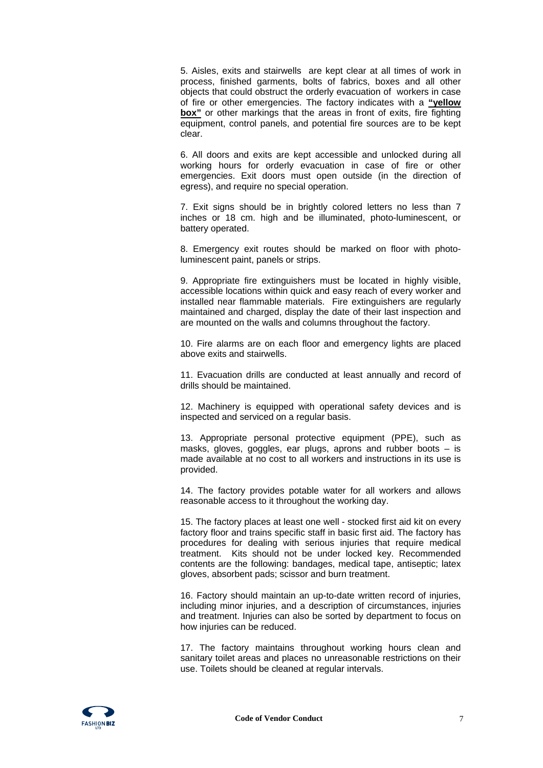5. Aisles, exits and stairwells are kept clear at all times of work in process, finished garments, bolts of fabrics, boxes and all other objects that could obstruct the orderly evacuation of workers in case of fire or other emergencies. The factory indicates with a **"yellow box**" or other markings that the areas in front of exits, fire fighting equipment, control panels, and potential fire sources are to be kept clear.

6. All doors and exits are kept accessible and unlocked during all working hours for orderly evacuation in case of fire or other emergencies. Exit doors must open outside (in the direction of egress), and require no special operation.

7. Exit signs should be in brightly colored letters no less than 7 inches or 18 cm. high and be illuminated, photo-luminescent, or battery operated.

8. Emergency exit routes should be marked on floor with photoluminescent paint, panels or strips.

9. Appropriate fire extinguishers must be located in highly visible, accessible locations within quick and easy reach of every worker and installed near flammable materials. Fire extinguishers are regularly maintained and charged, display the date of their last inspection and are mounted on the walls and columns throughout the factory.

10. Fire alarms are on each floor and emergency lights are placed above exits and stairwells.

11. Evacuation drills are conducted at least annually and record of drills should be maintained.

12. Machinery is equipped with operational safety devices and is inspected and serviced on a regular basis.

13. Appropriate personal protective equipment (PPE), such as masks, gloves, goggles, ear plugs, aprons and rubber boots – is made available at no cost to all workers and instructions in its use is provided.

14. The factory provides potable water for all workers and allows reasonable access to it throughout the working day.

15. The factory places at least one well - stocked first aid kit on every factory floor and trains specific staff in basic first aid. The factory has procedures for dealing with serious injuries that require medical treatment. Kits should not be under locked key. Recommended contents are the following: bandages, medical tape, antiseptic; latex gloves, absorbent pads; scissor and burn treatment.

16. Factory should maintain an up-to-date written record of injuries, including minor injuries, and a description of circumstances, injuries and treatment. Injuries can also be sorted by department to focus on how injuries can be reduced.

17. The factory maintains throughout working hours clean and sanitary toilet areas and places no unreasonable restrictions on their use. Toilets should be cleaned at regular intervals.

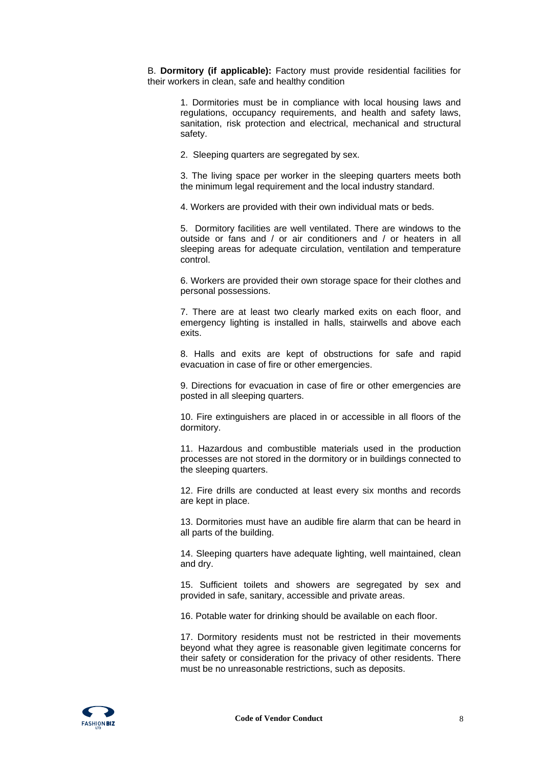B. **Dormitory (if applicable):** Factory must provide residential facilities for their workers in clean, safe and healthy condition

> 1. Dormitories must be in compliance with local housing laws and regulations, occupancy requirements, and health and safety laws, sanitation, risk protection and electrical, mechanical and structural safety.

2. Sleeping quarters are segregated by sex.

3. The living space per worker in the sleeping quarters meets both the minimum legal requirement and the local industry standard.

4. Workers are provided with their own individual mats or beds.

5. Dormitory facilities are well ventilated. There are windows to the outside or fans and / or air conditioners and / or heaters in all sleeping areas for adequate circulation, ventilation and temperature control.

6. Workers are provided their own storage space for their clothes and personal possessions.

7. There are at least two clearly marked exits on each floor, and emergency lighting is installed in halls, stairwells and above each exits.

8. Halls and exits are kept of obstructions for safe and rapid evacuation in case of fire or other emergencies.

9. Directions for evacuation in case of fire or other emergencies are posted in all sleeping quarters.

10. Fire extinguishers are placed in or accessible in all floors of the dormitory.

11. Hazardous and combustible materials used in the production processes are not stored in the dormitory or in buildings connected to the sleeping quarters.

12. Fire drills are conducted at least every six months and records are kept in place.

13. Dormitories must have an audible fire alarm that can be heard in all parts of the building.

14. Sleeping quarters have adequate lighting, well maintained, clean and dry.

15. Sufficient toilets and showers are segregated by sex and provided in safe, sanitary, accessible and private areas.

16. Potable water for drinking should be available on each floor.

17. Dormitory residents must not be restricted in their movements beyond what they agree is reasonable given legitimate concerns for their safety or consideration for the privacy of other residents. There must be no unreasonable restrictions, such as deposits.

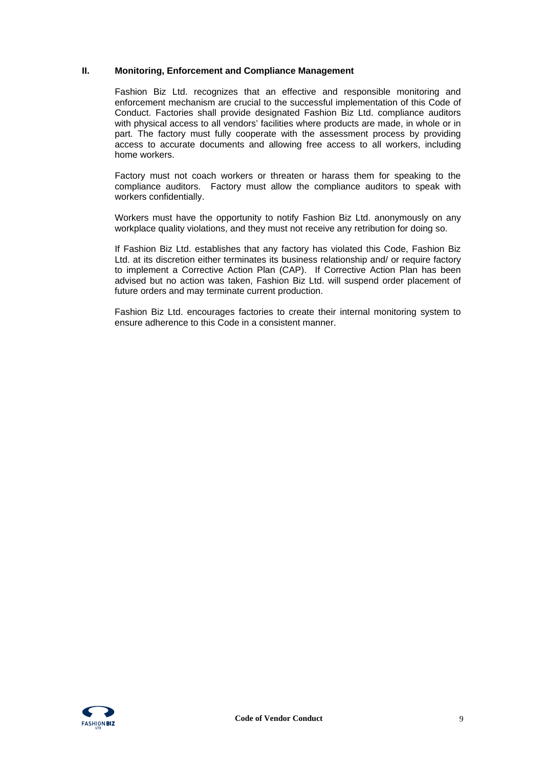## **II. Monitoring, Enforcement and Compliance Management**

Fashion Biz Ltd. recognizes that an effective and responsible monitoring and enforcement mechanism are crucial to the successful implementation of this Code of Conduct. Factories shall provide designated Fashion Biz Ltd. compliance auditors with physical access to all vendors' facilities where products are made, in whole or in part. The factory must fully cooperate with the assessment process by providing access to accurate documents and allowing free access to all workers, including home workers.

Factory must not coach workers or threaten or harass them for speaking to the compliance auditors. Factory must allow the compliance auditors to speak with workers confidentially.

Workers must have the opportunity to notify Fashion Biz Ltd. anonymously on any workplace quality violations, and they must not receive any retribution for doing so.

If Fashion Biz Ltd. establishes that any factory has violated this Code, Fashion Biz Ltd. at its discretion either terminates its business relationship and/ or require factory to implement a Corrective Action Plan (CAP). If Corrective Action Plan has been advised but no action was taken, Fashion Biz Ltd. will suspend order placement of future orders and may terminate current production.

Fashion Biz Ltd. encourages factories to create their internal monitoring system to ensure adherence to this Code in a consistent manner.